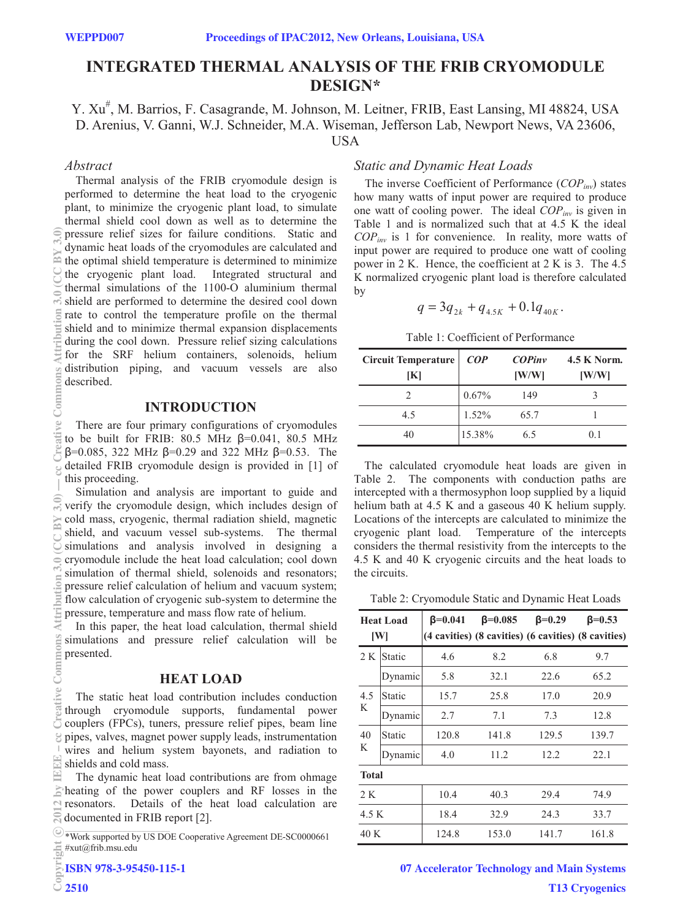# **INTEGRATED THERMAL ANALYSIS OF THE FRIB CRYOMODULE DESIGN\***

Y. Xu<sup>#</sup>, M. Barrios, F. Casagrande, M. Johnson, M. Leitner, FRIB, East Lansing, MI 48824, USA D. Arenius, V. Ganni, W.J. Schneider, M.A. Wiseman, Jefferson Lab, Newport News, VA 23606, USA

### *Abstract*

Thermal analysis of the FRIB cryomodule design is performed to determine the heat load to the cryogenic plant, to minimize the cryogenic plant load, to simulate thermal shield cool down as well as to determine the pressure relief sizes for failure conditions. Static and dynamic heat loads of the cryomodules are calculated and the optimal shield temperature is determined to minimize the cryogenic plant load. Integrated structural and thermal simulations of the 1100-O aluminium thermal shield are performed to determine the desired cool down rate to control the temperature profile on the thermal shield and to minimize thermal expansion displacements during the cool down. Pressure relief sizing calculations for the SRF helium containers, solenoids, helium distribution piping, and vacuum vessels are also described.

### **INTRODUCTION**

There are four primary configurations of cryomodules to be built for FRIB:  $80.5$  MHz  $\beta$ =0.041, 80.5 MHz  $\beta$ =0.085, 322 MHz  $\beta$ =0.29 and 322 MHz  $\beta$ =0.53. The detailed FRIB cryomodule design is provided in [1] of this proceeding.

Simulation and analysis are important to guide and verify the cryomodule design, which includes design of cold mass, cryogenic, thermal radiation shield, magnetic shield, and vacuum vessel sub-systems. The thermal simulations and analysis involved in designing a cryomodule include the heat load calculation; cool down simulation of thermal shield, solenoids and resonators; pressure relief calculation of helium and vacuum system flow calculation of cryogenic sub-system to determine the pressure, temperature and mass flow rate of helium.

### **HEAT LOAD**

#xut@frib.msu.edu

2510

### *Static and Dynamic Heat Loads*

The inverse Coefficient of Performance (*COPinv*) states how many watts of input power are required to produce one watt of cooling power. The ideal *COPinv* is given in Table 1 and is normalized such that at 4.5 K the ideal *COPinv* is 1 for convenience. In reality, more watts of input power are required to produce one watt of cooling power in 2 K. Hence, the coefficient at 2 K is 3. The 4.5 K normalized cryogenic plant load is therefore calculated by

$$
q = 3q_{2k} + q_{4.5K} + 0.1q_{40K}.
$$

Table 1: Coefficient of Performance

| Circuit Temperature<br>[K] | <b>COP</b> | $\mathbf{C}\mathbf{O}\mathbf{P}$ inv<br>[W/W] | $4.5$ K Norm.<br>[W/W] |
|----------------------------|------------|-----------------------------------------------|------------------------|
|                            | 0.67%      | 149                                           |                        |
| 4.5                        | 1.52%      | 65.7                                          |                        |
| 40                         | 15.38%     | 65                                            | (1)                    |

The calculated cryomodule heat loads are given in Table 2. The components with conduction paths are intercepted with a thermosyphon loop supplied by a liquid helium bath at 4.5 K and a gaseous 40 K helium supply. Locations of the intercepts are calculated to minimize the cryogenic plant load. Temperature of the intercepts considers the thermal resistivity from the intercepts to the 4.5 K and 40 K cryogenic circuits and the heat loads to the circuits.

Table 2: Cryomodule Static and Dynamic Heat Loads

| pressure, temperature and mass flow rate of nellum.<br>In this paper, the heat load calculation, thermal shield<br>simulations and pressure relief calculation will be<br>presented.<br><b>HEAT LOAD</b>                                                            |          | <b>Heat Load</b><br>[W] | $\beta = 0.041$ | $\beta = 0.085$ | $\beta = 0.29$ | $\beta = 0.53$<br>(4 cavities) (8 cavities) (6 cavities) (8 cavities) |  |  |
|---------------------------------------------------------------------------------------------------------------------------------------------------------------------------------------------------------------------------------------------------------------------|----------|-------------------------|-----------------|-----------------|----------------|-----------------------------------------------------------------------|--|--|
|                                                                                                                                                                                                                                                                     |          | 2 K Static              | 4.6             | 8.2             | 6.8            | 9.7                                                                   |  |  |
|                                                                                                                                                                                                                                                                     |          | Dynamic                 | 5.8             | 32.1            | 22.6           | 65.2                                                                  |  |  |
| The static heat load contribution includes conduction                                                                                                                                                                                                               | 4.5<br>K | Static                  | 15.7            | 25.8            | 17.0           | 20.9                                                                  |  |  |
| through cryomodule supports, fundamental power<br>couplers (FPCs), tuners, pressure relief pipes, beam line                                                                                                                                                         |          | Dynamic                 | 2.7             | 7.1             | 7.3            | 12.8                                                                  |  |  |
| pipes, valves, magnet power supply leads, instrumentation                                                                                                                                                                                                           |          | Static                  | 120.8           | 141.8           | 129.5          | 139.7                                                                 |  |  |
| wires and helium system bayonets, and radiation to<br>shields and cold mass.                                                                                                                                                                                        | K        | Dynamic                 | 4.0             | 11.2            | 12.2           | 22.1                                                                  |  |  |
| The dynamic heat load contributions are from ohmage<br>heating of the power couplers and RF losses in the<br>resonators. Details of the heat load calculation are<br>documented in FRIB report [2].<br>*Work supported by US DOE Cooperative Agreement DE-SC0000661 |          | <b>Total</b>            |                 |                 |                |                                                                       |  |  |
|                                                                                                                                                                                                                                                                     |          |                         | 10.4            | 40.3            | 29.4           | 74.9                                                                  |  |  |
|                                                                                                                                                                                                                                                                     |          | 4.5 K                   | 18.4            | 32.9            | 24.3           | 33.7                                                                  |  |  |
|                                                                                                                                                                                                                                                                     |          | 40 K                    | 124.8           | 153.0           | 141.7          | 161.8                                                                 |  |  |
|                                                                                                                                                                                                                                                                     |          |                         |                 |                 |                |                                                                       |  |  |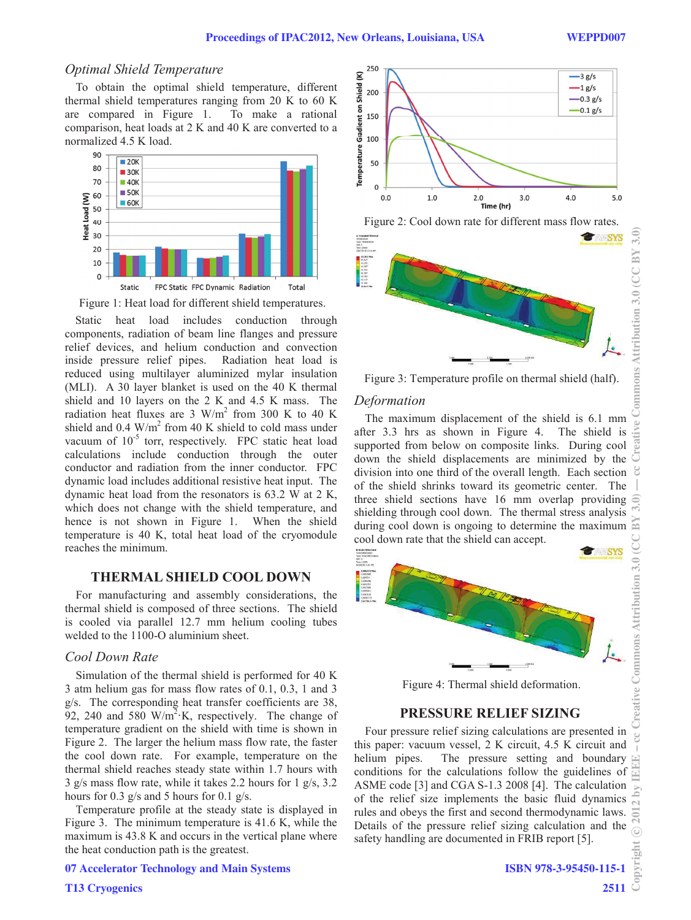#### *<i>Optimal Shield Temperature*

To obtain the optimal shield temperature, different thermal shield temperatures ranging from  $20$  K to  $60$  K are compared in Figure 1. To make a rational comparison, heat loads at  $2 K$  and  $40 K$  are converted to a normalized 4.5 K load.



Figure 1: Heat load for different shield temperatures.

Static heat load includes conduction through components, radiation of beam line flanges and pressure relief devices, and helium conduction and convection inside pressure relief pipes. Radiation heat load is reduced using multilayer aluminized mylar insulation (MLI). A 30 layer blanket is used on the 40 K thermal shield and 10 layers on the  $2 K$  and  $4.5 K$  mass. The radiation heat fluxes are 3  $W/m^2$  from 300 K to 40 K shield and  $0.4 \text{ W/m}^2$  from 40 K shield to cold mass under vacuum of  $10^{-5}$  torr, respectively. FPC static heat load calculations include conduction through the outer conductor and radiation from the inner conductor. FPC dynamic load includes additional resistive heat input. The dynamic heat load from the resonators is  $63.2$  W at  $2$  K, which does not change with the shield temperature, and hence is not shown in Figure 1. When the shield temperature is 40 K, total heat load of the cryomodule reaches the minimum.

## **THERMAL SHIELD COOL DOWN**

For manufacturing and assembly considerations, the thermal shield is composed of three sections. The shield is cooled via parallel 12.7 mm helium cooling tubes welded to the 1100-O aluminium sheet.

#### *Cool Down Rate*

T13 Cryogenics

Simulation of the thermal shield is performed for 40 K 3 atm helium gas for mass flow rates of 0.1, 0.3, 1 and 3 g/s. The corresponding heat transfer coefficients are 38, 92, 240 and 580 W/m<sup>2</sup> $\cdot$ K, respectively. The change of temperature gradient on the shield with time is shown in Figure 2. The larger the helium mass flow rate, the faster the cool down rate. For example, temperature on the thermal shield reaches steady state within 1.7 hours with 3 g/s mass flow rate, while it takes 2.2 hours for 1 g/s, 3.2 hours for 0.3 g/s and 5 hours for 0.1 g/s.

Temperature profile at the steady state is displayed in Figure 3. The minimum temperature is 41.6 K, while the maximum is 43.8 K and occurs in the vertical plane where the heat conduction path is the greatest.

07 Accelerator Technology and Main Systems



Figure 2: Cool down rate for different mass flow rates.



Figure 3: Temperature profile on thermal shield (half).

#### $Deformation$

The maximum displacement of the shield is 6.1 mm after 3.3 hrs as shown in Figure 4. The shield is supported from below on composite links. During cool down the shield displacements are minimized by the division into one third of the overall length. Each section of the shield shrinks toward its geometric center. The three shield sections have 16 mm overlap providing shielding through cool down. The thermal stress analysis during cool down is ongoing to determine the maximum cool down rate that the shield can accept.



Figure 4: Thermal shield deformation.

#### **PRESSURE RELIEF SIZING**

Four pressure relief sizing calculations are presented in this paper: vacuum vessel,  $2 K$  circuit,  $4.5 K$  circuit and helium pipes. The pressure setting and boundary conditions for the calculations follow the guidelines of ASME code  $[3]$  and CGA S-1.3 2008  $[4]$ . The calculation of the relief size implements the basic fluid dynamics rules and obeys the first and second thermodynamic laws. Details of the pressure relief sizing calculation and the safety handling are documented in FRIB report [5].